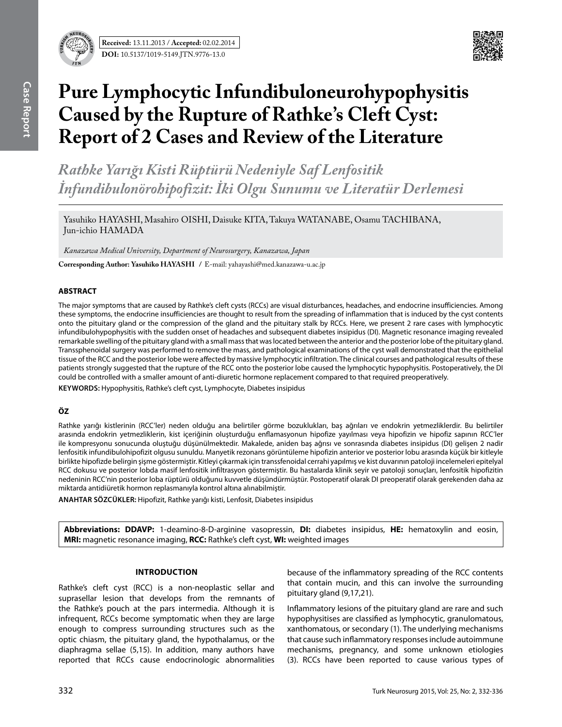

# **Pure Lymphocytic Infundibuloneurohypophysitis Caused by the Rupture of Rathke's Cleft Cyst: Report of 2 Cases and Review of the Literature**

*Rathke Yarığı Kisti Rüptürü Nedeniyle Saf Lenfositik İnfundibulonörohipofizit: İki Olgu Sunumu ve Literatür Derlemesi* 

Yasuhiko HAYASHI, Masahiro OISHI, Daisuke KITA, Takuya WATANABE, Osamu TACHIBANA, Jun-ichio HAMADA

*Kanazawa Medical University, Department of Neurosurgery, Kanazawa, Japan*

**Corresponding Author: Yasuhiko Hayashı /** E-mail: yahayashi@med.kanazawa-u.ac.jp

## **ABSTRACT**

The major symptoms that are caused by Rathke's cleft cysts (RCCs) are visual disturbances, headaches, and endocrine insufficiencies. Among these symptoms, the endocrine insufficiencies are thought to result from the spreading of inflammation that is induced by the cyst contents onto the pituitary gland or the compression of the gland and the pituitary stalk by RCCs. Here, we present 2 rare cases with lymphocytic infundibulohypophysitis with the sudden onset of headaches and subsequent diabetes insipidus (DI). Magnetic resonance imaging revealed remarkable swelling of the pituitary gland with a small mass that was located between the anterior and the posterior lobe of the pituitary gland. Transsphenoidal surgery was performed to remove the mass, and pathological examinations of the cyst wall demonstrated that the epithelial tissue of the RCC and the posterior lobe were affected by massive lymphocytic infiltration. The clinical courses and pathological results of these patients strongly suggested that the rupture of the RCC onto the posterior lobe caused the lymphocytic hypophysitis. Postoperatively, the DI could be controlled with a smaller amount of anti-diuretic hormone replacement compared to that required preoperatively.

**Keywords:** Hypophysitis, Rathke's cleft cyst, Lymphocyte, Diabetes insipidus

## **ÖZ**

Rathke yarığı kistlerinin (RCC'ler) neden olduğu ana belirtiler görme bozuklukları, baş ağrıları ve endokrin yetmezliklerdir. Bu belirtiler arasında endokrin yetmezliklerin, kist içeriğinin oluşturduğu enflamasyonun hipofize yayılması veya hipofizin ve hipofiz sapının RCC'ler ile kompresyonu sonucunda oluştuğu düşünülmektedir. Makalede, aniden baş ağrısı ve sonrasında diabetes insipidus (DI) gelişen 2 nadir lenfositik infundibulohipofizit olgusu sunuldu. Manyetik rezonans görüntüleme hipofizin anterior ve posterior lobu arasında küçük bir kitleyle birlikte hipofizde belirgin şişme göstermiştir. Kitleyi çıkarmak için transsfenoidal cerrahi yapılmış ve kist duvarının patoloji incelemeleri epitelyal RCC dokusu ve posterior lobda masif lenfositik infiltrasyon göstermiştir. Bu hastalarda klinik seyir ve patoloji sonuçları, lenfositik hipofizitin nedeninin RCC'nin posterior loba rüptürü olduğunu kuvvetle düşündürmüştür. Postoperatif olarak DI preoperatif olarak gerekenden daha az miktarda antidiüretik hormon replasmanıyla kontrol altına alınabilmiştir.

**ANAHTAR SÖZCÜKLER:** Hipofizit, Rathke yarığı kisti, Lenfosit, Diabetes insipidus

**Abbreviations: DDAVP:** 1-deamino-8-D-arginine vasopressin, **DI:** diabetes insipidus, **HE:** hematoxylin and eosin, **MRI:** magnetic resonance imaging, **RCC:** Rathke's cleft cyst, **WI:** weighted images

## **Introduction**

Rathke's cleft cyst (RCC) is a non-neoplastic sellar and suprasellar lesion that develops from the remnants of the Rathke's pouch at the pars intermedia. Although it is infrequent, RCCs become symptomatic when they are large enough to compress surrounding structures such as the optic chiasm, the pituitary gland, the hypothalamus, or the diaphragma sellae (5,15). In addition, many authors have reported that RCCs cause endocrinologic abnormalities because of the inflammatory spreading of the RCC contents that contain mucin, and this can involve the surrounding pituitary gland (9,17,21).

Inflammatory lesions of the pituitary gland are rare and such hypophysitises are classified as lymphocytic, granulomatous, xanthomatous, or secondary (1). The underlying mechanisms that cause such inflammatory responses include autoimmune mechanisms, pregnancy, and some unknown etiologies (3). RCCs have been reported to cause various types of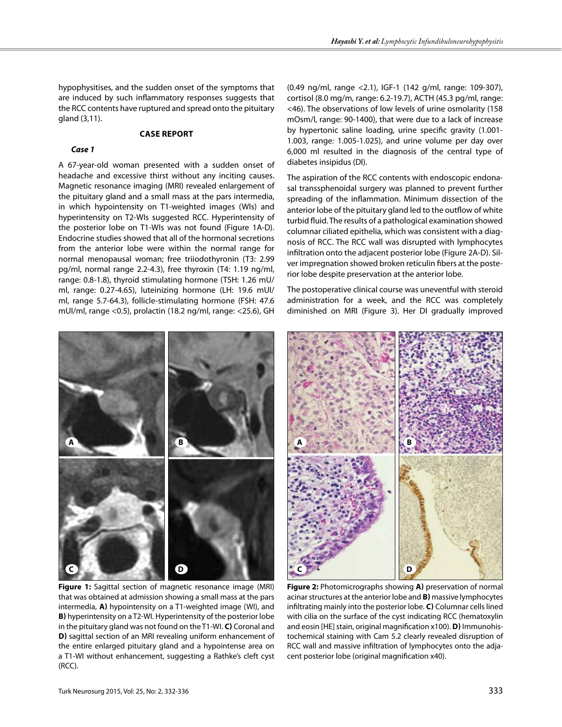hypophysitises, and the sudden onset of the symptoms that are induced by such inflammatory responses suggests that the RCC contents have ruptured and spread onto the pituitary gland (3,11).

#### **Case report**

#### *Case 1*

A 67-year-old woman presented with a sudden onset of headache and excessive thirst without any inciting causes. Magnetic resonance imaging (MRI) revealed enlargement of the pituitary gland and a small mass at the pars intermedia, in which hypointensity on T1-weighted images (WIs) and hyperintensity on T2-WIs suggested RCC. Hyperintensity of the posterior lobe on T1-WIs was not found (Figure 1A-D). Endocrine studies showed that all of the hormonal secretions from the anterior lobe were within the normal range for normal menopausal woman; free triiodothyronin (T3: 2.99 pg/ml, normal range 2.2-4.3), free thyroxin (T4: 1.19 ng/ml, range: 0.8-1.8), thyroid stimulating hormone (TSH: 1.26 mU/ ml, range: 0.27-4.65), luteinizing hormone (LH: 19.6 mUI/ ml, range 5.7-64.3), follicle-stimulating hormone (FSH: 47.6 mUI/ml, range <0.5), prolactin (18.2 ng/ml, range: <25.6), GH

(0.49 ng/ml, range <2.1), IGF-1 (142 g/ml, range: 109-307), cortisol (8.0 mg/m, range: 6.2-19.7), ACTH (45.3 pg/ml, range: <46). The observations of low levels of urine osmolarity (158 mOsm/l, range: 90-1400), that were due to a lack of increase by hypertonic saline loading, urine specific gravity (1.001- 1.003, range: 1.005-1.025), and urine volume per day over 6,000 ml resulted in the diagnosis of the central type of diabetes insipidus (DI).

The aspiration of the RCC contents with endoscopic endonasal transsphenoidal surgery was planned to prevent further spreading of the inflammation. Minimum dissection of the anterior lobe of the pituitary gland led to the outflow of white turbid fluid. The results of a pathological examination showed columnar ciliated epithelia, which was consistent with a diagnosis of RCC. The RCC wall was disrupted with lymphocytes infiltration onto the adjacent posterior lobe (Figure 2A-D). Silver impregnation showed broken reticulin fibers at the posterior lobe despite preservation at the anterior lobe.

The postoperative clinical course was uneventful with steroid administration for a week, and the RCC was completely diminished on MRI (Figure 3). Her DI gradually improved



**Figure 1:** Sagittal section of magnetic resonance image (MRI) that was obtained at admission showing a small mass at the pars intermedia, **a)** hypointensity on a T1-weighted image (WI), and **b)** hyperintensity on a T2-WI. Hyperintensity of the posterior lobe in the pituitary gland was not found on the T1-WI. **c)** Coronal and **D**) sagittal section of an MRI revealing uniform enhancement of the entire enlarged pituitary gland and a hypointense area on a T1-WI without enhancement, suggesting a Rathke's cleft cyst (RCC).



**Figure 2:** Photomicrographs showing **a)** preservation of normal acinar structures at the anterior lobe and **b)** massive lymphocytes infiltrating mainly into the posterior lobe. **c)** Columnar cells lined with cilia on the surface of the cyst indicating RCC (hematoxylin and eosin [HE] stain, original magnification x100). **d)** Immunohistochemical staining with Cam 5.2 clearly revealed disruption of RCC wall and massive infiltration of lymphocytes onto the adjacent posterior lobe (original magnification x40).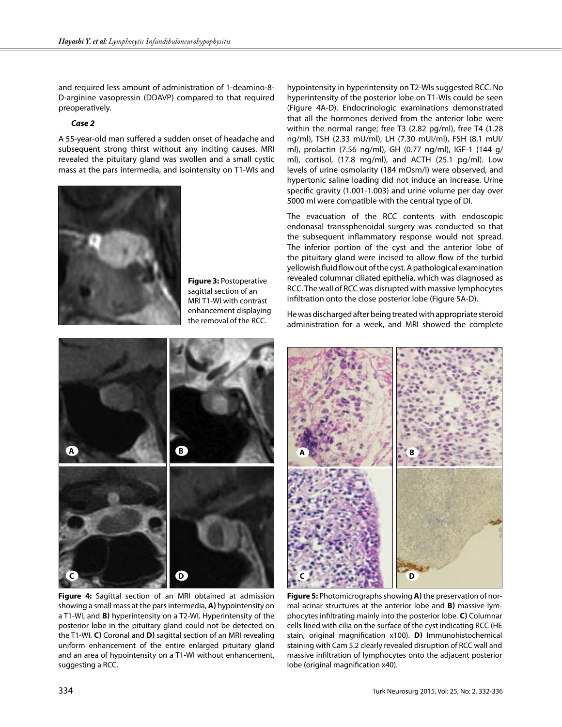and required less amount of administration of 1-deamino-8- D-arginine vasopressin (DDAVP) compared to that required preoperatively.

#### *Case 2*

A 55-year-old man suffered a sudden onset of headache and subsequent strong thirst without any inciting causes. MRI revealed the pituitary gland was swollen and a small cystic mass at the pars intermedia, and isointensity on T1-WIs and



**Figure 3:** Postoperative sagittal section of an MRI T1-WI with contrast enhancement displaying the removal of the RCC.

hypointensity in hyperintensity on T2-WIs suggested RCC. No hyperintensity of the posterior lobe on T1-WIs could be seen (Figure 4A-D). Endocrinologic examinations demonstrated that all the hormones derived from the anterior lobe were within the normal range; free T3 (2.82 pg/ml), free T4 (1.28 ng/ml), TSH (2.33 mU/ml), LH (7.30 mUI/ml), FSH (8.1 mUI/ ml), prolactin (7.56 ng/ml), GH (0.77 ng/ml), IGF-1 (144 g/ ml), cortisol, (17.8 mg/ml), and ACTH (25.1 pg/ml). Low levels of urine osmolarity (184 mOsm/l) were observed, and hypertonic saline loading did not induce an increase. Urine specific gravity (1.001-1.003) and urine volume per day over 5000 ml were compatible with the central type of DI.

The evacuation of the RCC contents with endoscopic endonasal transsphenoidal surgery was conducted so that the subsequent inflammatory response would not spread. The inferior portion of the cyst and the anterior lobe of the pituitary gland were incised to allow flow of the turbid yellowish fluid flow out of the cyst. A pathological examination revealed columnar ciliated epithelia, which was diagnosed as RCC. The wall of RCC was disrupted with massive lymphocytes infiltration onto the close posterior lobe (Figure 5A-D).

He was discharged after being treated with appropriate steroid administration for a week, and MRI showed the complete





**Figure 4:** Sagittal section of an MRI obtained at admission showing a small mass at the pars intermedia, **a)** hypointensity on a T1-WI, and **B)** hyperintensity on a T2-WI. Hyperintensity of the posterior lobe in the pituitary gland could not be detected on the T1-WI. **C)** Coronal and **D)** sagittal section of an MRI revealing uniform enhancement of the entire enlarged pituitary gland and an area of hypointensity on a T1-WI without enhancement, suggesting a RCC.

**Figure 5:** Photomicrographs showing **a)** the preservation of normal acinar structures at the anterior lobe and **b)** massive lymphocytes infiltrating mainly into the posterior lobe. **c)** Columnar cells lined with cilia on the surface of the cyst indicating RCC (HE stain, original magnification x100). **d)** Immunohistochemical staining with Cam 5.2 clearly revealed disruption of RCC wall and massive infiltration of lymphocytes onto the adjacent posterior lobe (original magnification x40).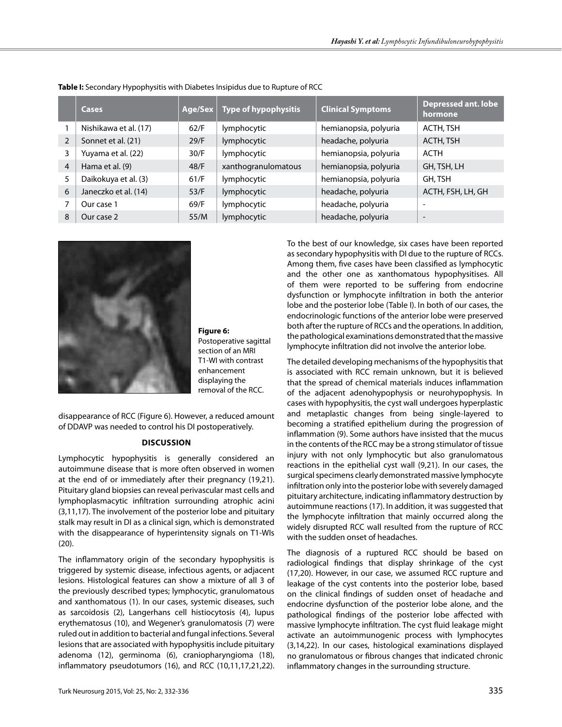|                | <b>Cases</b>          | Age/Sex | <b>Type of hypophysitis</b> | <b>Clinical Symptoms</b> | <b>Depressed ant. lobe</b><br>hormone |
|----------------|-----------------------|---------|-----------------------------|--------------------------|---------------------------------------|
|                | Nishikawa et al. (17) | 62/F    | lymphocytic                 | hemianopsia, polyuria    | ACTH, TSH                             |
| 2              | Sonnet et al. (21)    | 29/F    | lymphocytic                 | headache, polyuria       | ACTH, TSH                             |
| 3              | Yuyama et al. (22)    | 30/F    | lymphocytic                 | hemianopsia, polyuria    | ACTH                                  |
| $\overline{4}$ | Hama et al. (9)       | 48/F    | xanthogranulomatous         | hemianopsia, polyuria    | GH, TSH, LH                           |
| 5              | Daikokuya et al. (3)  | 61/F    | lymphocytic                 | hemianopsia, polyuria    | GH, TSH                               |
| 6              | Janeczko et al. (14)  | 53/F    | lymphocytic                 | headache, polyuria       | ACTH, FSH, LH, GH                     |
|                | Our case 1            | 69/F    | lymphocytic                 | headache, polyuria       | -                                     |
| 8              | Our case 2            | 55/M    | lymphocytic                 | headache, polyuria       | $\overline{\phantom{a}}$              |

**Table I:** Secondary Hypophysitis with Diabetes Insipidus due to Rupture of RCC



**Figure 6:**  Postoperative sagittal section of an MRI T1-WI with contrast enhancement displaying the removal of the RCC.

disappearance of RCC (Figure 6). However, a reduced amount of DDAVP was needed to control his DI postoperatively.

## **Discussion**

Lymphocytic hypophysitis is generally considered an autoimmune disease that is more often observed in women at the end of or immediately after their pregnancy (19,21). Pituitary gland biopsies can reveal perivascular mast cells and lymphoplasmacytic infiltration surrounding atrophic acini (3,11,17). The involvement of the posterior lobe and pituitary stalk may result in DI as a clinical sign, which is demonstrated with the disappearance of hyperintensity signals on T1-WIs (20).

The inflammatory origin of the secondary hypophysitis is triggered by systemic disease, infectious agents, or adjacent lesions. Histological features can show a mixture of all 3 of the previously described types; lymphocytic, granulomatous and xanthomatous (1). In our cases, systemic diseases, such as sarcoidosis (2), Langerhans cell histiocytosis (4), lupus erythematosus (10), and Wegener's granulomatosis (7) were ruled out in addition to bacterial and fungal infections. Several lesions that are associated with hypophysitis include pituitary adenoma (12), germinoma (6), craniopharyngioma (18), inflammatory pseudotumors (16), and RCC (10,11,17,21,22). To the best of our knowledge, six cases have been reported as secondary hypophysitis with DI due to the rupture of RCCs. Among them, five cases have been classified as lymphocytic and the other one as xanthomatous hypophysitises. All of them were reported to be suffering from endocrine dysfunction or lymphocyte infiltration in both the anterior lobe and the posterior lobe (Table I). In both of our cases, the endocrinologic functions of the anterior lobe were preserved both after the rupture of RCCs and the operations. In addition, the pathological examinations demonstrated that the massive lymphocyte infiltration did not involve the anterior lobe.

The detailed developing mechanisms of the hypophysitis that is associated with RCC remain unknown, but it is believed that the spread of chemical materials induces inflammation of the adjacent adenohypophysis or neurohypophysis. In cases with hypophysitis, the cyst wall undergoes hyperplastic and metaplastic changes from being single-layered to becoming a stratified epithelium during the progression of inflammation (9). Some authors have insisted that the mucus in the contents of the RCC may be a strong stimulator of tissue injury with not only lymphocytic but also granulomatous reactions in the epithelial cyst wall (9,21). In our cases, the surgical specimens clearly demonstrated massive lymphocyte infiltration only into the posterior lobe with severely damaged pituitary architecture, indicating inflammatory destruction by autoimmune reactions (17). In addition, it was suggested that the lymphocyte infiltration that mainly occurred along the widely disrupted RCC wall resulted from the rupture of RCC with the sudden onset of headaches.

The diagnosis of a ruptured RCC should be based on radiological findings that display shrinkage of the cyst (17,20). However, in our case, we assumed RCC rupture and leakage of the cyst contents into the posterior lobe, based on the clinical findings of sudden onset of headache and endocrine dysfunction of the posterior lobe alone, and the pathological findings of the posterior lobe affected with massive lymphocyte infiltration. The cyst fluid leakage might activate an autoimmunogenic process with lymphocytes (3,14,22). In our cases, histological examinations displayed no granulomatous or fibrous changes that indicated chronic inflammatory changes in the surrounding structure.